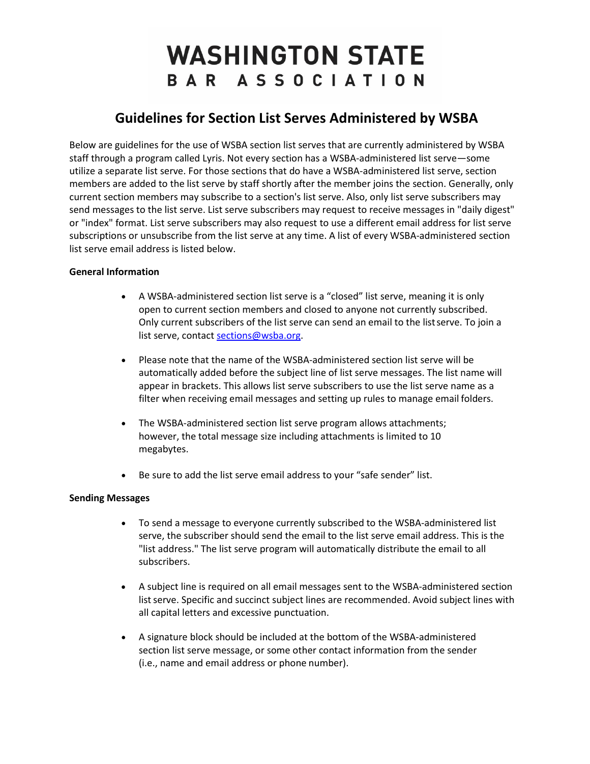# **WASHINGTON STATE** BAR ASSOCIATION

# **Guidelines for Section List Serves Administered by WSBA**

Below are guidelines for the use of WSBA section list serves that are currently administered by WSBA staff through a program called Lyris. Not every section has a WSBA-administered list serve—some utilize a separate list serve. For those sections that do have a WSBA-administered list serve, section members are added to the list serve by staff shortly after the member joins the section. Generally, only current section members may subscribe to a section's list serve. Also, only list serve subscribers may send messages to the list serve. List serve subscribers may request to receive messages in "daily digest" or "index" format. List serve subscribers may also request to use a different email address for list serve subscriptions or unsubscribe from the list serve at any time. A list of every WSBA-administered section list serve email address is listed below.

## **General Information**

- A WSBA-administered section list serve is a "closed" list serve, meaning it is only open to current section members and closed to anyone not currently subscribed. Only current subscribers of the list serve can send an email to the listserve. To join a list serve, contact [sections@wsba.org.](mailto:sections@wsba.org)
- Please note that the name of the WSBA-administered section list serve will be automatically added before the subject line of list serve messages. The list name will appear in brackets. This allows list serve subscribers to use the list serve name as a filter when receiving email messages and setting up rules to manage email folders.
- The WSBA-administered section list serve program allows attachments; however, the total message size including attachments is limited to 10 megabytes.
- Be sure to add the list serve email address to your "safe sender" list.

### **Sending Messages**

- To send a message to everyone currently subscribed to the WSBA-administered list serve, the subscriber should send the email to the list serve email address. This is the "list address." The list serve program will automatically distribute the email to all subscribers.
- A subject line is required on all email messages sent to the WSBA-administered section list serve. Specific and succinct subject lines are recommended. Avoid subject lines with all capital letters and excessive punctuation.
- A signature block should be included at the bottom of the WSBA-administered section list serve message, or some other contact information from the sender (i.e., name and email address or phone number).